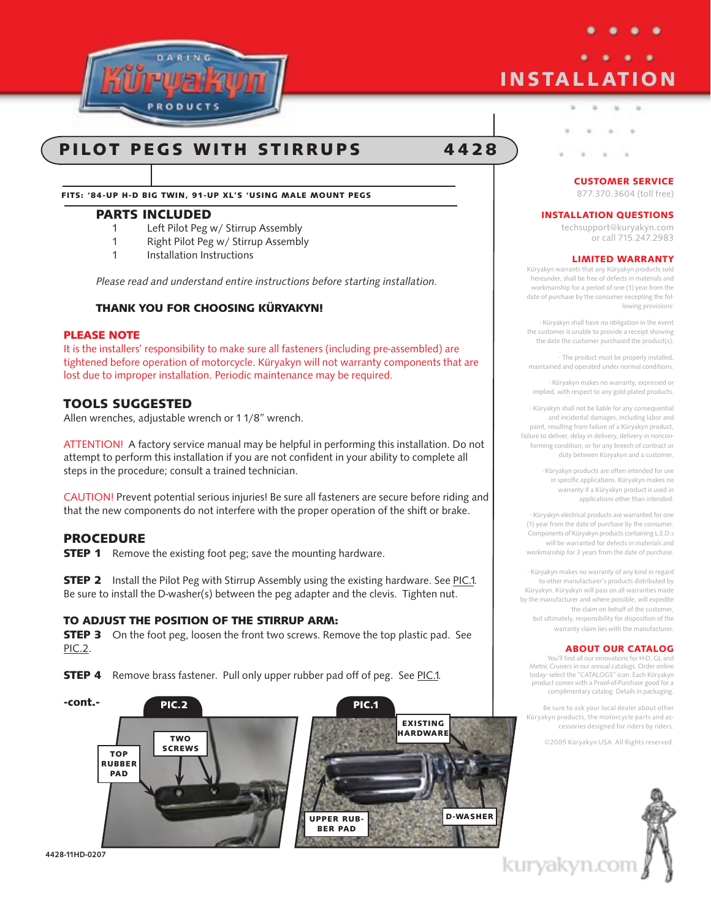

# **INSTALLATION**

# PILOT PEGS WITH STIRRUPS 4428

Fits: '84-UP H-d BIG TWIN, 91-UP XL'S 'USING MALE MOUNT PEGS

# Parts Included

- 1 Left Pilot Peg w/ Stirrup Assembly
- 1 Right Pilot Peg w/ Stirrup Assembly<br>1 Installation Instructions
- Installation Instructions

Please read and understand entire instructions before starting installation.

# Thank you for choosing Küryakyn!

#### PLEASE NOTE

It is the installers' responsibility to make sure all fasteners (including pre-assembled) are tightened before operation of motorcycle. Küryakyn will not warranty components that are lost due to improper installation. Periodic maintenance may be required.

# Tools Suggested

Allen wrenches, adjustable wrench or 1 1/8" wrench.

ATTENTION! A factory service manual may be helpful in performing this installation. Do not attempt to perform this installation if you are not confident in your ability to complete all steps in the procedure; consult a trained technician.

CAUTION! Prevent potential serious injuries! Be sure all fasteners are secure before riding and that the new components do not interfere with the proper operation of the shift or brake.

## **PROCEDURE**

**STEP 1** Remove the existing foot peg; save the mounting hardware.

**STEP 2** Install the Pilot Peg with Stirrup Assembly using the existing hardware. See PIC.1. Be sure to install the D-washer(s) between the peg adapter and the clevis. Tighten nut.

## To adjust the position of the stirrup arm:

**STEP 3** On the foot peg, loosen the front two screws. Remove the top plastic pad. See PIC.2.

**STEP 4** Remove brass fastener. Pull only upper rubber pad off of peg. See PIC.1.



4428-11HD-0207

#### CUSTOMER SERVICE

×

877.370.3604 (toll free)

#### INSTALLATION QUESTIONS

techsupport@kuryakyn.com or call 715.247.2983

#### LIMITED WARRANTY

Küryakyn warrants that any Küryakyn products sold hereunder, shall be free of defects in materials and workmanship for a period of one (1) year from the date of purchase by the consumer excepting the following provisions:

• Küryakyn shall have no obligation in the event the customer is unable to provide a receipt showing the date the customer purchased the product(s).

• The product must be properly installed, maintained and operated under normal conditions.

• Küryakyn makes no warranty, expressed or implied, with respect to any gold plated products.

• Küryakyn shall not be liable for any consequential and incidental damages, including labor and paint, resulting from failure of a Küryakyn product, failure to deliver, delay in delivery, delivery in nonconforming condition, or for any breech of contract or duty between Küryakyn and a customer.

> • Küryakyn products are often intended for use in specific applications. Küryakyn makes no warranty if a Küryakyn product is used in applications other than intended.

• Küryakyn electrical products are warranted for one (1) year from the date of purchase by the consumer. Components of Küryakyn products containing L.E.D.s will be warranted for defects in materials and workmanship for 3 years from the date of purchase.

• Küryakyn makes no warranty of any kind in regard to other manufacturer's products distributed by Küryakyn. Küryakyn will pass on all warranties made by the manufacturer and where possible, will expedite the claim on behalf of the customer, but ultimately, responsibility for disposition of the warranty claim lies with the manufacturer.

#### ABOUT OUR CATALOG

You'll find all our innovations for H-D, GL and Metric Cruisers in our annual catalogs. Order online today–select the "CATALOGS" icon. Each Küryakyn® product comes with a Proof-of-Purchase good for a complimentary catalog. Details in packaging.

Be sure to ask your local dealer about other Küryakyn products, the motorcycle parts and accessories designed for riders by riders.

©2005 Küryakyn USA All Rights reserved.